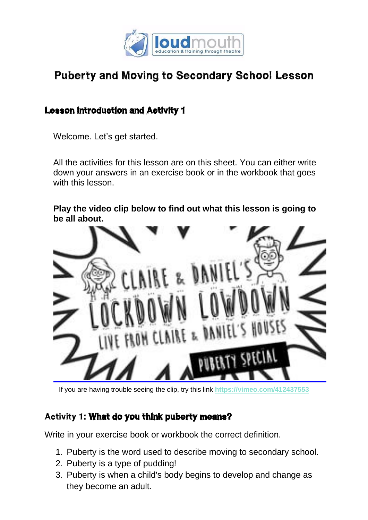

# Puberty and Moving to Secondary School Lesson

### Lesson introduction and Activity 1

Welcome. Let's get started.

All the activities for this lesson are on this sheet. You can either write down your answers in an exercise book or in the workbook that goes with this lesson.

**Play the video clip below to find out what this lesson is going to be all about.**



If you are having trouble seeing the clip, try this link **<https://vimeo.com/412437553>**

#### Activity 1: What do you think puberty means?

Write in your exercise book or workbook the correct definition.

- 1. Puberty is the word used to describe moving to secondary school.
- 2. Puberty is a type of pudding!
- 3. Puberty is when a child's body begins to develop and change as they become an adult.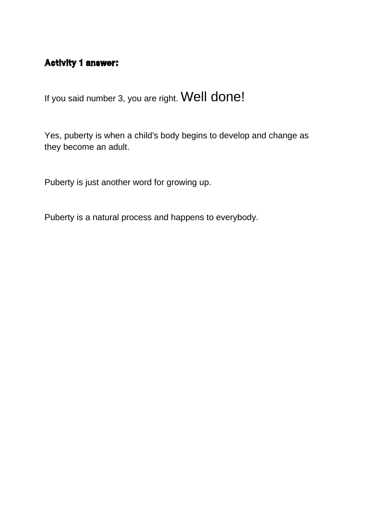# Activity 1 answer:

If you said number 3, you are right. Well done!

Yes, puberty is when a child's body begins to develop and change as they become an adult.

Puberty is just another word for growing up.

Puberty is a natural process and happens to everybody.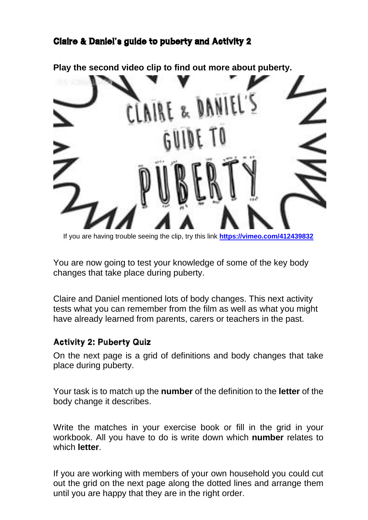# Claire & Daniel's guide to puberty and Activity 2

**Play the second video clip to find out more about puberty.** 



If you are having trouble seeing the clip, try this link **<https://vimeo.com/412439832>**

You are now going to test your knowledge of some of the key body changes that take place during puberty.

Claire and Daniel mentioned lots of body changes. This next activity tests what you can remember from the film as well as what you might have already learned from parents, carers or teachers in the past.

#### Activity 2: Puberty Quiz

On the next page is a grid of definitions and body changes that take place during puberty.

Your task is to match up the **number** of the definition to the **letter** of the body change it describes.

Write the matches in your exercise book or fill in the grid in your workbook. All you have to do is write down which **number** relates to which **letter**.

If you are working with members of your own household you could cut out the grid on the next page along the dotted lines and arrange them until you are happy that they are in the right order.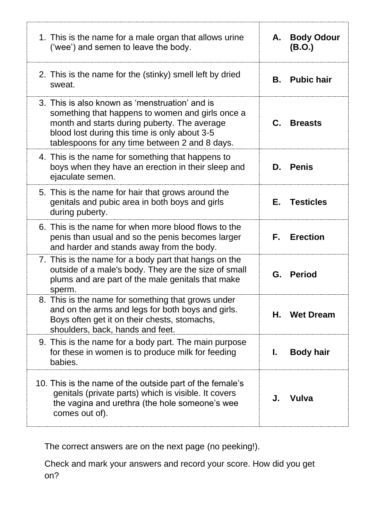| 1. This is the name for a male organ that allows urine<br>('wee') and semen to leave the body.                                                                                                                                                        | А.             | <b>Body Odour</b><br>(B.O.) |
|-------------------------------------------------------------------------------------------------------------------------------------------------------------------------------------------------------------------------------------------------------|----------------|-----------------------------|
| 2. This is the name for the (stinky) smell left by dried<br>sweat.                                                                                                                                                                                    | В.             | <b>Pubic hair</b>           |
| 3. This is also known as 'menstruation' and is<br>something that happens to women and girls once a<br>month and starts during puberty. The average<br>blood lost during this time is only about 3-5<br>tablespoons for any time between 2 and 8 days. | $\mathbf{C}$ . | <b>Breasts</b>              |
| 4. This is the name for something that happens to<br>boys when they have an erection in their sleep and<br>ejaculate semen.                                                                                                                           | D.             | <b>Penis</b>                |
| 5. This is the name for hair that grows around the<br>genitals and pubic area in both boys and girls<br>during puberty.                                                                                                                               | E.             | <b>Testicles</b>            |
| 6. This is the name for when more blood flows to the<br>penis than usual and so the penis becomes larger<br>and harder and stands away from the body.                                                                                                 | F. I           | <b>Erection</b>             |
| 7. This is the name for a body part that hangs on the<br>outside of a male's body. They are the size of small<br>plums and are part of the male genitals that make<br>sperm.                                                                          |                | G. Period                   |
| 8. This is the name for something that grows under<br>and on the arms and legs for both boys and girls.<br>Boys often get it on their chests, stomachs,<br>shoulders, back, hands and feet.                                                           | Н.             | <b>Wet Dream</b>            |
| 9. This is the name for a body part. The main purpose<br>for these in women is to produce milk for feeding<br>babies.                                                                                                                                 | I.             | <b>Body hair</b>            |
| 10. This is the name of the outside part of the female's<br>genitals (private parts) which is visible. It covers<br>the vagina and urethra (the hole someone's wee<br>comes out of).                                                                  | J.             | <b>Vulva</b>                |

The correct answers are on the next page (no peeking!).

Check and mark your answers and record your score. How did you get on?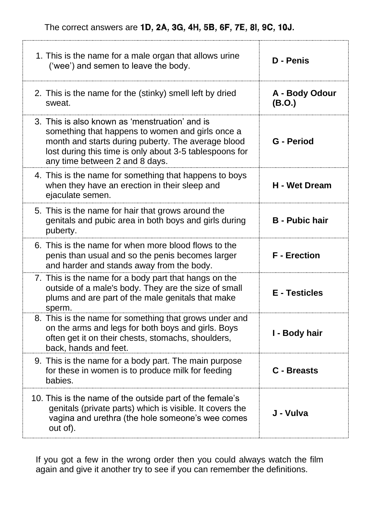The correct answers are 1D, 2A, 3G, 4H, 5B, 6F, 7E, 8I, 9C, 10J.

| 1. This is the name for a male organ that allows urine<br>('wee') and semen to leave the body.                                                                                                                                                        | D - Penis                |
|-------------------------------------------------------------------------------------------------------------------------------------------------------------------------------------------------------------------------------------------------------|--------------------------|
| 2. This is the name for the (stinky) smell left by dried<br>sweat.                                                                                                                                                                                    | A - Body Odour<br>(B.O.) |
| 3. This is also known as 'menstruation' and is<br>something that happens to women and girls once a<br>month and starts during puberty. The average blood<br>lost during this time is only about 3-5 tablespoons for<br>any time between 2 and 8 days. | G - Period               |
| 4. This is the name for something that happens to boys<br>when they have an erection in their sleep and<br>ejaculate semen.                                                                                                                           | <b>H</b> - Wet Dream     |
| 5. This is the name for hair that grows around the<br>genitals and pubic area in both boys and girls during<br>puberty.                                                                                                                               | <b>B</b> - Pubic hair    |
| 6. This is the name for when more blood flows to the<br>penis than usual and so the penis becomes larger<br>and harder and stands away from the body.                                                                                                 | <b>F</b> - Erection      |
| 7. This is the name for a body part that hangs on the<br>outside of a male's body. They are the size of small<br>plums and are part of the male genitals that make<br>sperm.                                                                          | <b>E</b> - Testicles     |
| 8. This is the name for something that grows under and<br>on the arms and legs for both boys and girls. Boys<br>often get it on their chests, stomachs, shoulders,<br>back, hands and feet.                                                           | I - Body hair            |
| 9. This is the name for a body part. The main purpose<br>for these in women is to produce milk for feeding<br>babies.                                                                                                                                 | C - Breasts              |
| 10. This is the name of the outside part of the female's<br>genitals (private parts) which is visible. It covers the<br>vagina and urethra (the hole someone's wee comes                                                                              | J - Vulva                |

If you got a few in the wrong order then you could always watch the film again and give it another try to see if you can remember the definitions.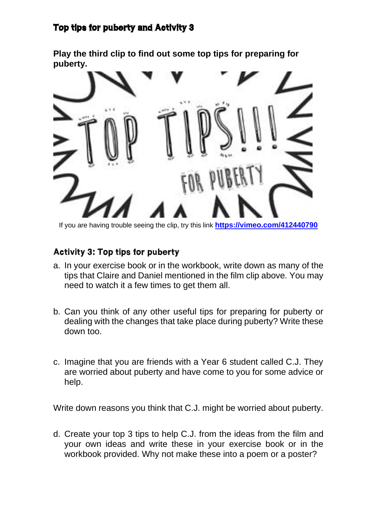# Top tips for puberty and Activity 3

**Play the third clip to find out some top tips for preparing for puberty.**



If you are having trouble seeing the clip, try this link **<https://vimeo.com/412440790>**

#### Activity 3: Top tips for puberty

- a. In your exercise book or in the workbook, write down as many of the tips that Claire and Daniel mentioned in the film clip above. You may need to watch it a few times to get them all.
- b. Can you think of any other useful tips for preparing for puberty or dealing with the changes that take place during puberty? Write these down too.
- c. Imagine that you are friends with a Year 6 student called C.J. They are worried about puberty and have come to you for some advice or help.

Write down reasons you think that C.J. might be worried about puberty.

d. Create your top 3 tips to help C.J. from the ideas from the film and your own ideas and write these in your exercise book or in the workbook provided. Why not make these into a poem or a poster?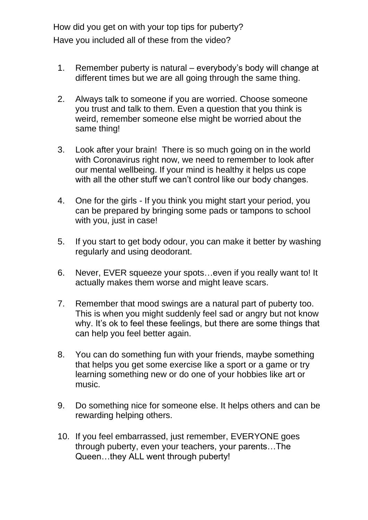How did you get on with your top tips for puberty? Have you included all of these from the video?

- 1. Remember puberty is natural everybody's body will change at different times but we are all going through the same thing.
- 2. Always talk to someone if you are worried. Choose someone you trust and talk to them. Even a question that you think is weird, remember someone else might be worried about the same thing!
- 3. Look after your brain! There is so much going on in the world with Coronavirus right now, we need to remember to look after our mental wellbeing. If your mind is healthy it helps us cope with all the other stuff we can't control like our body changes.
- 4. One for the girls If you think you might start your period, you can be prepared by bringing some pads or tampons to school with you, just in case!
- 5. If you start to get body odour, you can make it better by washing regularly and using deodorant.
- 6. Never, EVER squeeze your spots…even if you really want to! It actually makes them worse and might leave scars.
- 7. Remember that mood swings are a natural part of puberty too. This is when you might suddenly feel sad or angry but not know why. It's ok to feel these feelings, but there are some things that can help you feel better again.
- 8. You can do something fun with your friends, maybe something that helps you get some exercise like a sport or a game or try learning something new or do one of your hobbies like art or music.
- 9. Do something nice for someone else. It helps others and can be rewarding helping others.
- 10. If you feel embarrassed, just remember, EVERYONE goes through puberty, even your teachers, your parents…The Queen…they ALL went through puberty!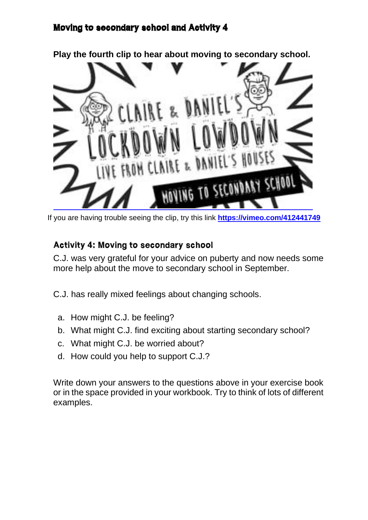### Moving to secondary school and Activity 4



If you are having trouble seeing the clip, try this link **<https://vimeo.com/412441749>**

#### Activity 4: Moving to secondary school

C.J. was very grateful for your advice on puberty and now needs some more help about the move to secondary school in September.

C.J. has really mixed feelings about changing schools.

- a. How might C.J. be feeling?
- b. What might C.J. find exciting about starting secondary school?
- c. What might C.J. be worried about?
- d. How could you help to support C.J.?

Write down your answers to the questions above in your exercise book or in the space provided in your workbook. Try to think of lots of different examples.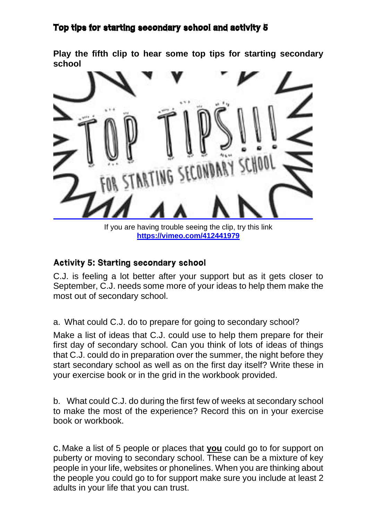### Top tips for starting secondary school and activity 5

**Play the fifth clip to hear some top tips for starting secondary school** 



If you are having trouble seeing the clip, try this link **<https://vimeo.com/412441979>**

#### Activity 5: Starting secondary school

C.J. is feeling a lot better after your support but as it gets closer to September, C.J. needs some more of your ideas to help them make the most out of secondary school.

a. What could C.J. do to prepare for going to secondary school?

Make a list of ideas that C.J. could use to help them prepare for their first day of secondary school. Can you think of lots of ideas of things that C.J. could do in preparation over the summer, the night before they start secondary school as well as on the first day itself? Write these in your exercise book or in the grid in the workbook provided.

b. What could C.J. do during the first few of weeks at secondary school to make the most of the experience? Record this on in your exercise book or workbook.

c.Make a list of 5 people or places that **you** could go to for support on puberty or moving to secondary school. These can be a mixture of key people in your life, websites or phonelines. When you are thinking about the people you could go to for support make sure you include at least 2 adults in your life that you can trust.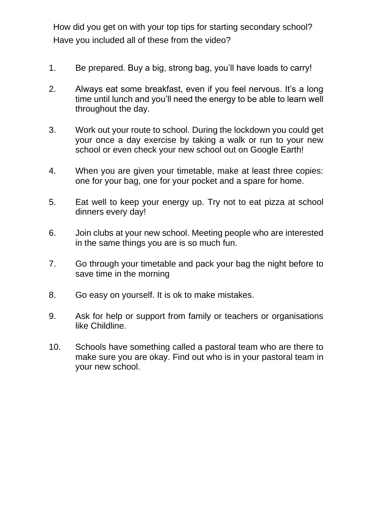How did you get on with your top tips for starting secondary school? Have you included all of these from the video?

- 1. Be prepared. Buy a big, strong bag, you'll have loads to carry!
- 2. Always eat some breakfast, even if you feel nervous. It's a long time until lunch and you'll need the energy to be able to learn well throughout the day.
- 3. Work out your route to school. During the lockdown you could get your once a day exercise by taking a walk or run to your new school or even check your new school out on Google Earth!
- 4. When you are given your timetable, make at least three copies: one for your bag, one for your pocket and a spare for home.
- 5. Eat well to keep your energy up. Try not to eat pizza at school dinners every day!
- 6. Join clubs at your new school. Meeting people who are interested in the same things you are is so much fun.
- 7. Go through your timetable and pack your bag the night before to save time in the morning
- 8. Go easy on yourself. It is ok to make mistakes.
- 9. Ask for help or support from family or teachers or organisations like Childline.
- 10. Schools have something called a pastoral team who are there to make sure you are okay. Find out who is in your pastoral team in your new school.